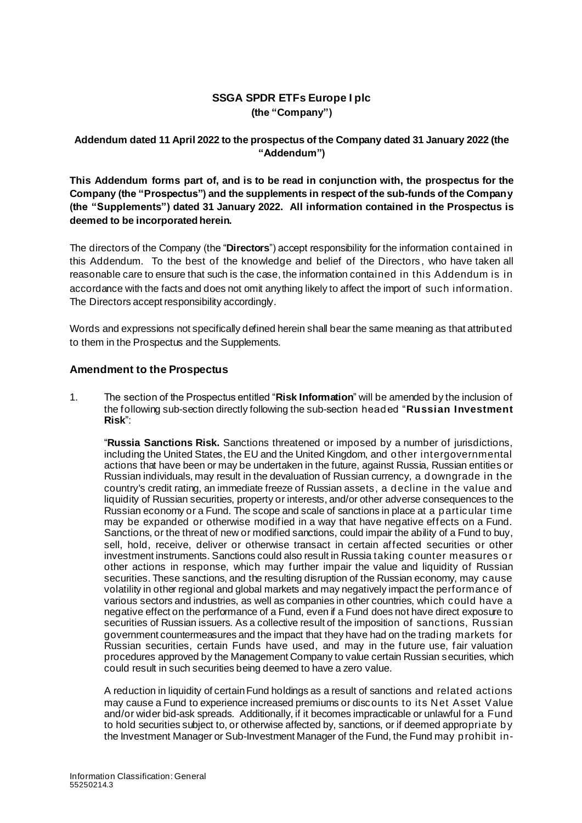## **SSGA SPDR ETFs Europe I plc (the "Company")**

## **Addendum dated 11 April 2022 to the prospectus of the Company dated 31 January 2022 (the "Addendum")**

**This Addendum forms part of, and is to be read in conjunction with, the prospectus for the Company (the "Prospectus") and the supplements in respect of the sub-funds of the Company (the "Supplements") dated 31 January 2022. All information contained in the Prospectus is deemed to be incorporated herein.**

The directors of the Company (the "**Directors**") accept responsibility for the information contained in this Addendum. To the best of the knowledge and belief of the Directors , who have taken all reasonable care to ensure that such is the case, the information contained in this Addendum is in accordance with the facts and does not omit anything likely to affect the import of such information. The Directors accept responsibility accordingly.

Words and expressions not specifically defined herein shall bear the same meaning as that attributed to them in the Prospectus and the Supplements.

## **Amendment to the Prospectus**

1. The section of the Prospectus entitled "**Risk Information**" will be amended by the inclusion of the following sub-section directly following the sub-section headed "**Russian Investment Risk**":

"**Russia Sanctions Risk.** Sanctions threatened or imposed by a number of jurisdictions, including the United States, the EU and the United Kingdom, and other intergovernmental actions that have been or may be undertaken in the future, against Russia, Russian entities or Russian individuals, may result in the devaluation of Russian currency, a downgrade in the country's credit rating, an immediate freeze of Russian assets, a decline in the value and liquidity of Russian securities, property or interests, and/or other adverse consequences to the Russian economy or a Fund. The scope and scale of sanctions in place at a particular time may be expanded or otherwise modified in a way that have negative effects on a Fund. Sanctions, or the threat of new or modified sanctions, could impair the ability of a Fund to buy, sell, hold, receive, deliver or otherwise transact in certain affected securities or other investment instruments. Sanctions could also result in Russia taking counter measures or other actions in response, which may further impair the value and liquidity of Russian securities. These sanctions, and the resulting disruption of the Russian economy, may cause volatility in other regional and global markets and may negatively impact the performance of various sectors and industries, as well as companies in other countries, which could have a negative effect on the performance of a Fund, even if a Fund does not have direct exposure to securities of Russian issuers. As a collective result of the imposition of sanctions, Russian government countermeasures and the impact that they have had on the trading markets for Russian securities, certain Funds have used, and may in the future use, fair valuation procedures approved by the Management Company to value certain Russian securities, which could result in such securities being deemed to have a zero value.

A reduction in liquidity of certain Fund holdings as a result of sanctions and related actions may cause a Fund to experience increased premiums or discounts to its Net Asset Value and/or wider bid-ask spreads. Additionally, if it becomes impracticable or unlawful for a Fund to hold securities subject to, or otherwise affected by, sanctions, or if deemed appropriate by the Investment Manager or Sub-Investment Manager of the Fund, the Fund may prohibit in